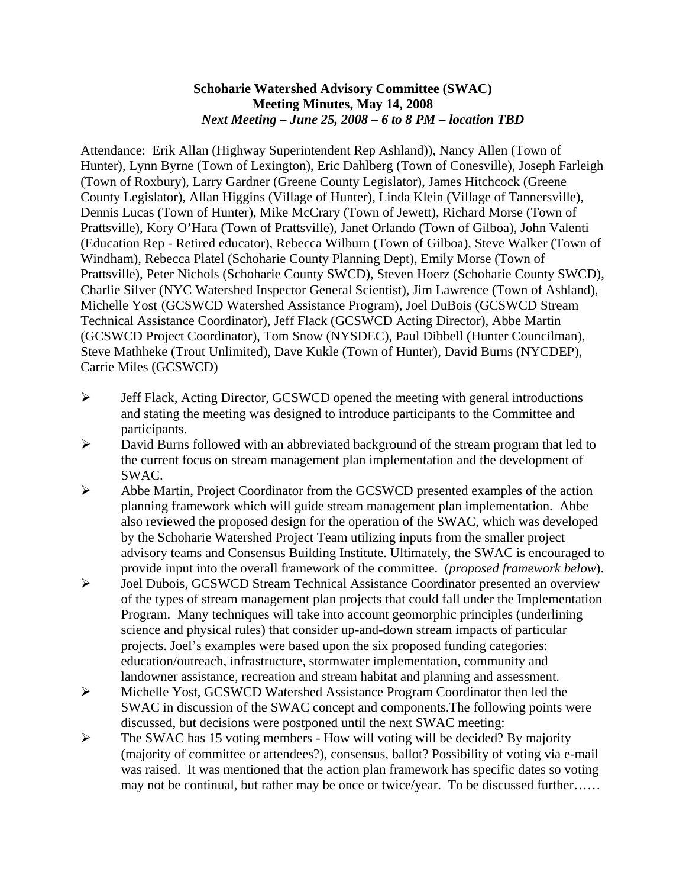### **Schoharie Watershed Advisory Committee (SWAC) Meeting Minutes, May 14, 2008**  *Next Meeting – June 25, 2008 – 6 to 8 PM – location TBD*

Attendance: Erik Allan (Highway Superintendent Rep Ashland)), Nancy Allen (Town of Hunter), Lynn Byrne (Town of Lexington), Eric Dahlberg (Town of Conesville), Joseph Farleigh (Town of Roxbury), Larry Gardner (Greene County Legislator), James Hitchcock (Greene County Legislator), Allan Higgins (Village of Hunter), Linda Klein (Village of Tannersville), Dennis Lucas (Town of Hunter), Mike McCrary (Town of Jewett), Richard Morse (Town of Prattsville), Kory O'Hara (Town of Prattsville), Janet Orlando (Town of Gilboa), John Valenti (Education Rep - Retired educator), Rebecca Wilburn (Town of Gilboa), Steve Walker (Town of Windham), Rebecca Platel (Schoharie County Planning Dept), Emily Morse (Town of Prattsville), Peter Nichols (Schoharie County SWCD), Steven Hoerz (Schoharie County SWCD), Charlie Silver (NYC Watershed Inspector General Scientist), Jim Lawrence (Town of Ashland), Michelle Yost (GCSWCD Watershed Assistance Program), Joel DuBois (GCSWCD Stream Technical Assistance Coordinator), Jeff Flack (GCSWCD Acting Director), Abbe Martin (GCSWCD Project Coordinator), Tom Snow (NYSDEC), Paul Dibbell (Hunter Councilman), Steve Mathheke (Trout Unlimited), Dave Kukle (Town of Hunter), David Burns (NYCDEP), Carrie Miles (GCSWCD)

- ¾ Jeff Flack, Acting Director, GCSWCD opened the meeting with general introductions and stating the meeting was designed to introduce participants to the Committee and participants.
- ¾ David Burns followed with an abbreviated background of the stream program that led to the current focus on stream management plan implementation and the development of SWAC.
- ¾ Abbe Martin, Project Coordinator from the GCSWCD presented examples of the action planning framework which will guide stream management plan implementation. Abbe also reviewed the proposed design for the operation of the SWAC, which was developed by the Schoharie Watershed Project Team utilizing inputs from the smaller project advisory teams and Consensus Building Institute. Ultimately, the SWAC is encouraged to provide input into the overall framework of the committee. (*proposed framework below*).
- ¾ Joel Dubois, GCSWCD Stream Technical Assistance Coordinator presented an overview of the types of stream management plan projects that could fall under the Implementation Program. Many techniques will take into account geomorphic principles (underlining science and physical rules) that consider up-and-down stream impacts of particular projects. Joel's examples were based upon the six proposed funding categories: education/outreach, infrastructure, stormwater implementation, community and landowner assistance, recreation and stream habitat and planning and assessment.
- ¾ Michelle Yost, GCSWCD Watershed Assistance Program Coordinator then led the SWAC in discussion of the SWAC concept and components.The following points were discussed, but decisions were postponed until the next SWAC meeting:
- $\triangleright$  The SWAC has 15 voting members How will voting will be decided? By majority (majority of committee or attendees?), consensus, ballot? Possibility of voting via e-mail was raised. It was mentioned that the action plan framework has specific dates so voting may not be continual, but rather may be once or twice/year. To be discussed further……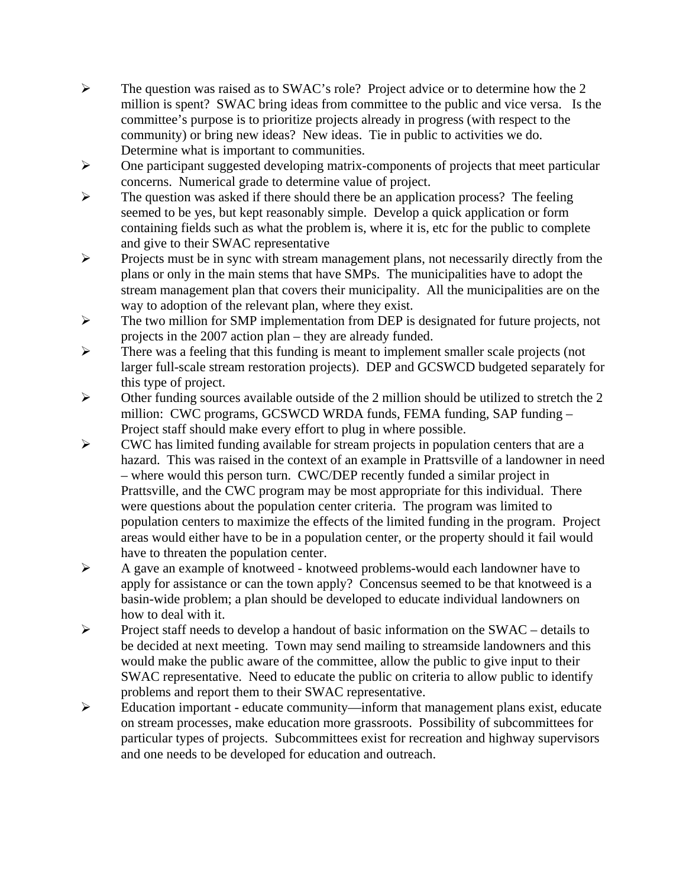- $\triangleright$  The question was raised as to SWAC's role? Project advice or to determine how the 2 million is spent? SWAC bring ideas from committee to the public and vice versa. Is the committee's purpose is to prioritize projects already in progress (with respect to the community) or bring new ideas? New ideas. Tie in public to activities we do. Determine what is important to communities.
- ¾ One participant suggested developing matrix-components of projects that meet particular concerns. Numerical grade to determine value of project.
- $\triangleright$  The question was asked if there should there be an application process? The feeling seemed to be yes, but kept reasonably simple. Develop a quick application or form containing fields such as what the problem is, where it is, etc for the public to complete and give to their SWAC representative
- ¾ Projects must be in sync with stream management plans, not necessarily directly from the plans or only in the main stems that have SMPs. The municipalities have to adopt the stream management plan that covers their municipality. All the municipalities are on the way to adoption of the relevant plan, where they exist.
- ¾ The two million for SMP implementation from DEP is designated for future projects, not projects in the 2007 action plan – they are already funded.
- ¾ There was a feeling that this funding is meant to implement smaller scale projects (not larger full-scale stream restoration projects). DEP and GCSWCD budgeted separately for this type of project.
- $\triangleright$  Other funding sources available outside of the 2 million should be utilized to stretch the 2 million: CWC programs, GCSWCD WRDA funds, FEMA funding, SAP funding – Project staff should make every effort to plug in where possible.
- ¾ CWC has limited funding available for stream projects in population centers that are a hazard. This was raised in the context of an example in Prattsville of a landowner in need – where would this person turn. CWC/DEP recently funded a similar project in Prattsville, and the CWC program may be most appropriate for this individual. There were questions about the population center criteria. The program was limited to population centers to maximize the effects of the limited funding in the program. Project areas would either have to be in a population center, or the property should it fail would have to threaten the population center.
- ¾ A gave an example of knotweed knotweed problems-would each landowner have to apply for assistance or can the town apply? Concensus seemed to be that knotweed is a basin-wide problem; a plan should be developed to educate individual landowners on how to deal with it.
- ¾ Project staff needs to develop a handout of basic information on the SWAC details to be decided at next meeting. Town may send mailing to streamside landowners and this would make the public aware of the committee, allow the public to give input to their SWAC representative. Need to educate the public on criteria to allow public to identify problems and report them to their SWAC representative.
- ¾ Education important educate community—inform that management plans exist, educate on stream processes, make education more grassroots. Possibility of subcommittees for particular types of projects. Subcommittees exist for recreation and highway supervisors and one needs to be developed for education and outreach.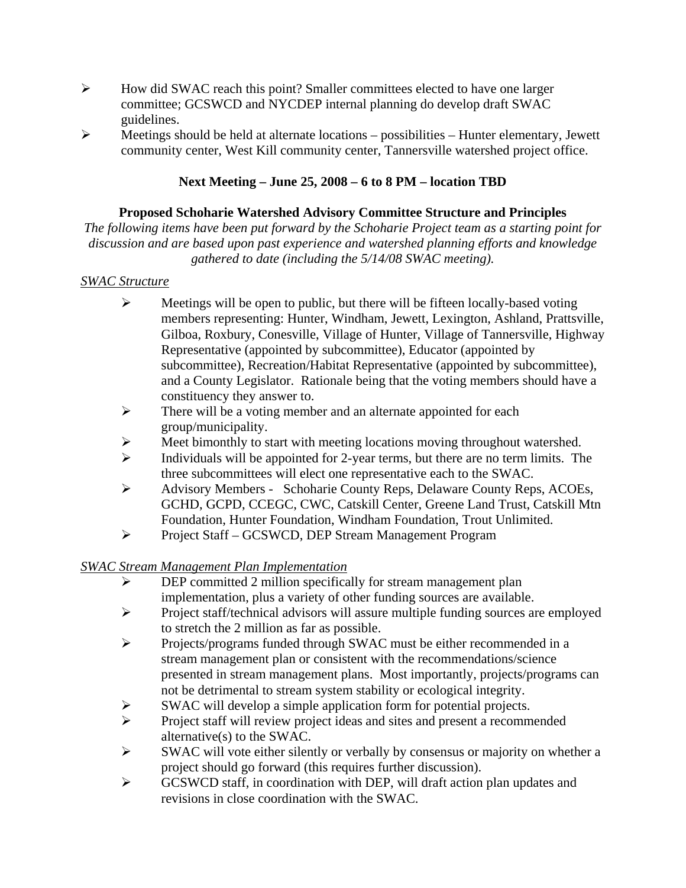- $\triangleright$  How did SWAC reach this point? Smaller committees elected to have one larger committee; GCSWCD and NYCDEP internal planning do develop draft SWAC guidelines.
- $\triangleright$  Meetings should be held at alternate locations possibilities Hunter elementary, Jewett community center, West Kill community center, Tannersville watershed project office.

# **Next Meeting – June 25, 2008 – 6 to 8 PM – location TBD**

## **Proposed Schoharie Watershed Advisory Committee Structure and Principles**

*The following items have been put forward by the Schoharie Project team as a starting point for discussion and are based upon past experience and watershed planning efforts and knowledge gathered to date (including the 5/14/08 SWAC meeting).* 

## *SWAC Structure*

- $\triangleright$  Meetings will be open to public, but there will be fifteen locally-based voting members representing: Hunter, Windham, Jewett, Lexington, Ashland, Prattsville, Gilboa, Roxbury, Conesville, Village of Hunter, Village of Tannersville, Highway Representative (appointed by subcommittee), Educator (appointed by subcommittee), Recreation/Habitat Representative (appointed by subcommittee), and a County Legislator. Rationale being that the voting members should have a constituency they answer to.
- ¾ There will be a voting member and an alternate appointed for each group/municipality.
- Meet bimonthly to start with meeting locations moving throughout watershed.
- $\triangleright$  Individuals will be appointed for 2-year terms, but there are no term limits. The three subcommittees will elect one representative each to the SWAC.
- ¾ Advisory Members Schoharie County Reps, Delaware County Reps, ACOEs, GCHD, GCPD, CCEGC, CWC, Catskill Center, Greene Land Trust, Catskill Mtn Foundation, Hunter Foundation, Windham Foundation, Trout Unlimited.
- ¾ Project Staff GCSWCD, DEP Stream Management Program

*SWAC Stream Management Plan Implementation*

- $\triangleright$  DEP committed 2 million specifically for stream management plan implementation, plus a variety of other funding sources are available.
- ¾ Project staff/technical advisors will assure multiple funding sources are employed to stretch the 2 million as far as possible.
- ¾ Projects/programs funded through SWAC must be either recommended in a stream management plan or consistent with the recommendations/science presented in stream management plans. Most importantly, projects/programs can not be detrimental to stream system stability or ecological integrity.
- $\triangleright$  SWAC will develop a simple application form for potential projects.
- ¾ Project staff will review project ideas and sites and present a recommended alternative(s) to the SWAC.
- $\triangleright$  SWAC will vote either silently or verbally by consensus or majority on whether a project should go forward (this requires further discussion).
- ¾ GCSWCD staff, in coordination with DEP, will draft action plan updates and revisions in close coordination with the SWAC.